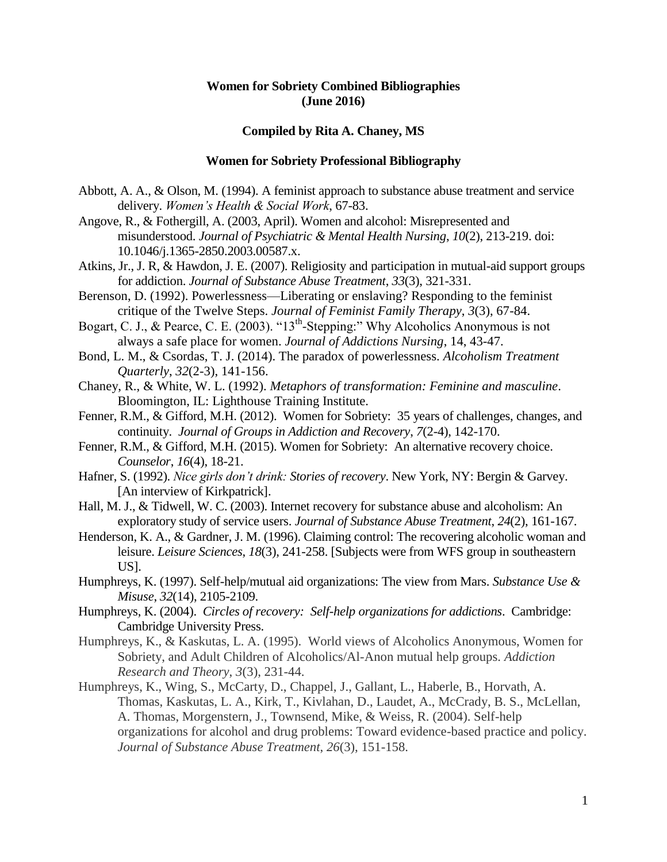# **Women for Sobriety Combined Bibliographies (June 2016)**

## **Compiled by Rita A. Chaney, MS**

#### **Women for Sobriety Professional Bibliography**

- Abbott, A. A., & Olson, M. (1994). A feminist approach to substance abuse treatment and service delivery. *Women's Health & Social Work*, 67-83.
- Angove, R., & Fothergill, A. (2003, April). Women and alcohol: Misrepresented and misunderstood. *Journal of Psychiatric & Mental Health Nursing*, *10*(2), 213-219. doi: 10.1046/j.1365-2850.2003.00587.x.
- Atkins, Jr., J. R, & Hawdon, J. E. (2007). Religiosity and participation in mutual-aid support groups for addiction. *Journal of Substance Abuse Treatment*, *33*(3), 321-331.
- Berenson, D. (1992). Powerlessness—Liberating or enslaving? Responding to the feminist critique of the Twelve Steps. *Journal of Feminist Family Therapy*, *3*(3), 67-84.
- Bogart, C. J., & Pearce, C. E. (2003). " $13<sup>th</sup>$ -Stepping:" Why Alcoholics Anonymous is not always a safe place for women. *Journal of Addictions Nursing*, 14, 43-47.
- Bond, L. M., & Csordas, T. J. (2014). The paradox of powerlessness. *Alcoholism Treatment Quarterly*, *32*(2-3), 141-156.
- Chaney, R., & White, W. L. (1992). *Metaphors of transformation: Feminine and masculine*. Bloomington, IL: Lighthouse Training Institute.
- Fenner, R.M., & Gifford, M.H. (2012). Women for Sobriety: 35 years of challenges, changes, and continuity. *Journal of Groups in Addiction and Recovery*, *7*(2-4), 142-170.
- Fenner, R.M., & Gifford, M.H. (2015). Women for Sobriety: An alternative recovery choice. *Counselor*, *16*(4), 18-21.
- Hafner, S. (1992). *Nice girls don't drink: Stories of recovery*. New York, NY: Bergin & Garvey. [An interview of Kirkpatrick].
- Hall, M. J., & Tidwell, W. C. (2003). Internet recovery for substance abuse and alcoholism: An exploratory study of service users. *Journal of Substance Abuse Treatment*, *24*(2), 161-167.
- Henderson, K. A., & Gardner, J. M. (1996). Claiming control: The recovering alcoholic woman and leisure. *Leisure Sciences*, *18*(3), 241-258. [Subjects were from WFS group in southeastern US].
- Humphreys, K. (1997). Self-help/mutual aid organizations: The view from Mars. *Substance Use & Misuse*, *32*(14), 2105-2109.
- Humphreys, K. (2004). *Circles of recovery: Self-help organizations for addictions*. Cambridge: Cambridge University Press.
- Humphreys, K., & Kaskutas, L. A. (1995). World views of Alcoholics Anonymous, Women for Sobriety, and Adult Children of Alcoholics/Al-Anon mutual help groups. *Addiction Research and Theory*, *3*(3), 231-44.
- Humphreys, K., Wing, S., McCarty, D., Chappel, J., Gallant, L., Haberle, B., Horvath, A. Thomas, Kaskutas, L. A., Kirk, T., Kivlahan, D., Laudet, A., McCrady, B. S., McLellan, A. Thomas, Morgenstern, J., Townsend, Mike, & Weiss, R. (2004). Self-help organizations for alcohol and drug problems: Toward evidence-based practice and policy. *Journal of Substance Abuse Treatment*, *26*(3), 151-158.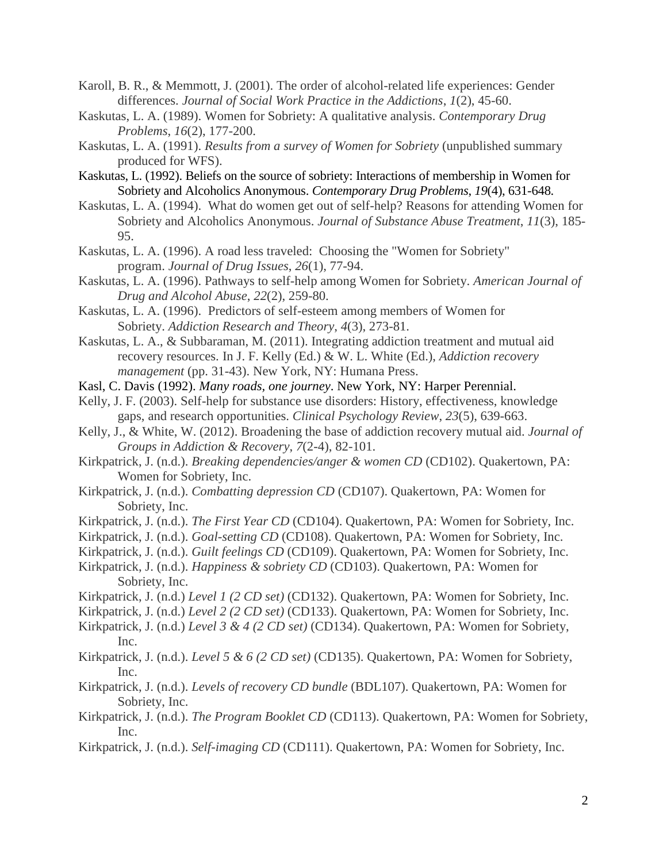- Karoll, B. R., & Memmott, J. (2001). The order of alcohol-related life experiences: Gender differences. *Journal of Social Work Practice in the Addictions*, *1*(2), 45-60.
- Kaskutas, L. A. (1989). Women for Sobriety: A qualitative analysis. *Contemporary Drug Problems*, *16*(2), 177-200.
- Kaskutas, L. A. (1991). *Results from a survey of Women for Sobriety* (unpublished summary produced for WFS).
- Kaskutas, L. (1992). Beliefs on the source of sobriety: Interactions of membership in Women for Sobriety and Alcoholics Anonymous. *Contemporary Drug Problems*, *19*(4), 631-648.
- Kaskutas, L. A. (1994). What do women get out of self-help? Reasons for attending Women for Sobriety and Alcoholics Anonymous. *Journal of Substance Abuse Treatment*, *11*(3), 185- 95.
- Kaskutas, L. A. (1996). A road less traveled: Choosing the "Women for Sobriety" program. *Journal of Drug Issues*, *26*(1), 77-94.
- Kaskutas, L. A. (1996). Pathways to self-help among Women for Sobriety. *American Journal of Drug and Alcohol Abuse*, *22*(2), 259-80.
- Kaskutas, L. A. (1996). Predictors of self-esteem among members of Women for Sobriety. *Addiction Research and Theory*, *4*(3), 273-81.
- Kaskutas, L. A., & Subbaraman, M. (2011). Integrating addiction treatment and mutual aid recovery resources. In J. F. Kelly (Ed.) & W. L. White (Ed.), *Addiction recovery management* (pp. 31-43). New York, NY: Humana Press.
- Kasl, C. Davis (1992). *Many roads, one journey*. New York, NY: Harper Perennial.
- Kelly, J. F. (2003). Self-help for substance use disorders: History, effectiveness, knowledge gaps, and research opportunities. *Clinical Psychology Review*, *23*(5), 639-663.
- Kelly, J., & White, W. (2012). Broadening the base of addiction recovery mutual aid. *Journal of Groups in Addiction & Recovery*, *7*(2-4), 82-101.
- Kirkpatrick, J. (n.d.). *Breaking dependencies/anger & women CD* (CD102). Quakertown, PA: Women for Sobriety, Inc.
- Kirkpatrick, J. (n.d.). *Combatting depression CD* (CD107). Quakertown, PA: Women for Sobriety, Inc.
- Kirkpatrick, J. (n.d.). *The First Year CD* (CD104). Quakertown, PA: Women for Sobriety, Inc.
- Kirkpatrick, J. (n.d.). *Goal-setting CD* (CD108). Quakertown, PA: Women for Sobriety, Inc.
- Kirkpatrick, J. (n.d.). *Guilt feelings CD* (CD109). Quakertown, PA: Women for Sobriety, Inc.
- Kirkpatrick, J. (n.d.). *Happiness & sobriety CD* (CD103). Quakertown, PA: Women for Sobriety, Inc.
- Kirkpatrick, J. (n.d.) *Level 1 (2 CD set)* (CD132). Quakertown, PA: Women for Sobriety, Inc.
- Kirkpatrick, J. (n.d.) *Level 2 (2 CD set)* (CD133). Quakertown, PA: Women for Sobriety, Inc.
- Kirkpatrick, J. (n.d.) *Level 3 & 4 (2 CD set)* (CD134). Quakertown, PA: Women for Sobriety, Inc.
- Kirkpatrick, J. (n.d.). *Level 5 & 6 (2 CD set)* (CD135). Quakertown, PA: Women for Sobriety, Inc.
- Kirkpatrick, J. (n.d.). *Levels of recovery CD bundle* (BDL107). Quakertown, PA: Women for Sobriety, Inc.
- Kirkpatrick, J. (n.d.). *The Program Booklet CD* (CD113). Quakertown, PA: Women for Sobriety, Inc.
- Kirkpatrick, J. (n.d.). *Self-imaging CD* (CD111). Quakertown, PA: Women for Sobriety, Inc.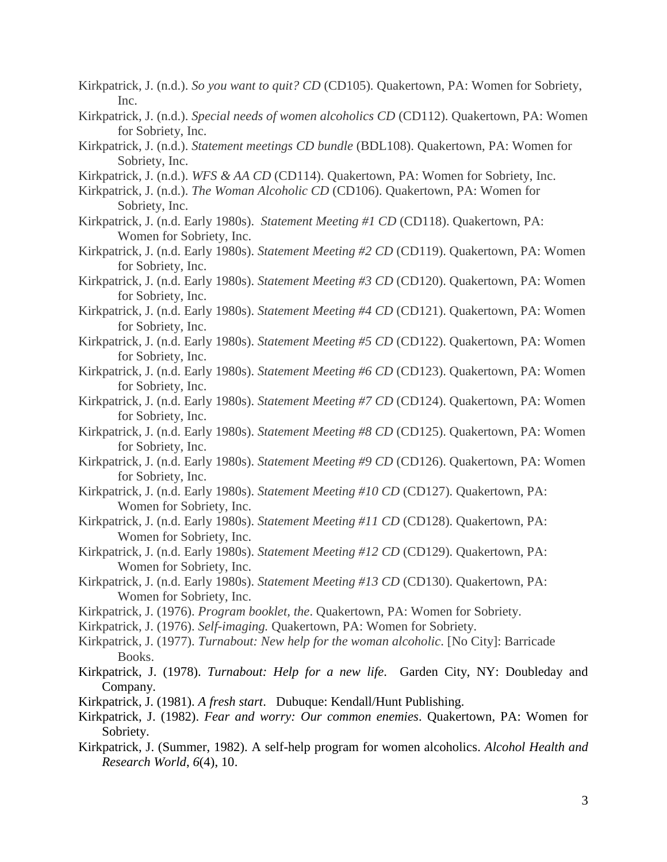- Kirkpatrick, J. (n.d.). *So you want to quit? CD* (CD105). Quakertown, PA: Women for Sobriety, Inc.
- Kirkpatrick, J. (n.d.). *Special needs of women alcoholics CD* (CD112). Quakertown, PA: Women for Sobriety, Inc.
- Kirkpatrick, J. (n.d.). *Statement meetings CD bundle* (BDL108). Quakertown, PA: Women for Sobriety, Inc.
- Kirkpatrick, J. (n.d.). *WFS & AA CD* (CD114). Quakertown, PA: Women for Sobriety, Inc.
- Kirkpatrick, J. (n.d.). *The Woman Alcoholic CD* (CD106). Quakertown, PA: Women for Sobriety, Inc.
- Kirkpatrick, J. (n.d. Early 1980s). *Statement Meeting #1 CD* (CD118). Quakertown, PA: Women for Sobriety, Inc.
- Kirkpatrick, J. (n.d. Early 1980s). *Statement Meeting #2 CD* (CD119). Quakertown, PA: Women for Sobriety, Inc.
- Kirkpatrick, J. (n.d. Early 1980s). *Statement Meeting #3 CD* (CD120). Quakertown, PA: Women for Sobriety, Inc.
- Kirkpatrick, J. (n.d. Early 1980s). *Statement Meeting #4 CD* (CD121). Quakertown, PA: Women for Sobriety, Inc.
- Kirkpatrick, J. (n.d. Early 1980s). *Statement Meeting #5 CD* (CD122). Quakertown, PA: Women for Sobriety, Inc.
- Kirkpatrick, J. (n.d. Early 1980s). *Statement Meeting #6 CD* (CD123). Quakertown, PA: Women for Sobriety, Inc.
- Kirkpatrick, J. (n.d. Early 1980s). *Statement Meeting #7 CD* (CD124). Quakertown, PA: Women for Sobriety, Inc.
- Kirkpatrick, J. (n.d. Early 1980s). *Statement Meeting #8 CD* (CD125). Quakertown, PA: Women for Sobriety, Inc.
- Kirkpatrick, J. (n.d. Early 1980s). *Statement Meeting #9 CD* (CD126). Quakertown, PA: Women for Sobriety, Inc.
- Kirkpatrick, J. (n.d. Early 1980s). *Statement Meeting #10 CD* (CD127). Quakertown, PA: Women for Sobriety, Inc.
- Kirkpatrick, J. (n.d. Early 1980s). *Statement Meeting #11 CD* (CD128). Quakertown, PA: Women for Sobriety, Inc.
- Kirkpatrick, J. (n.d. Early 1980s). *Statement Meeting #12 CD* (CD129). Quakertown, PA: Women for Sobriety, Inc.
- Kirkpatrick, J. (n.d. Early 1980s). *Statement Meeting #13 CD* (CD130). Quakertown, PA: Women for Sobriety, Inc.
- Kirkpatrick, J. (1976). *Program booklet, the*. Quakertown, PA: Women for Sobriety.
- Kirkpatrick, J. (1976). *Self-imaging.* Quakertown, PA: Women for Sobriety*.*
- Kirkpatrick, J. (1977). *Turnabout: New help for the woman alcoholic*. [No City]: Barricade Books.
- Kirkpatrick, J. (1978). *Turnabout: Help for a new life*. Garden City, NY: Doubleday and Company.
- Kirkpatrick, J. (1981). *A fresh start*. Dubuque: Kendall/Hunt Publishing.
- Kirkpatrick, J. (1982). *Fear and worry: Our common enemies*. Quakertown, PA: Women for Sobriety.
- Kirkpatrick, J. (Summer, 1982). A self-help program for women alcoholics. *Alcohol Health and Research World*, *6*(4), 10.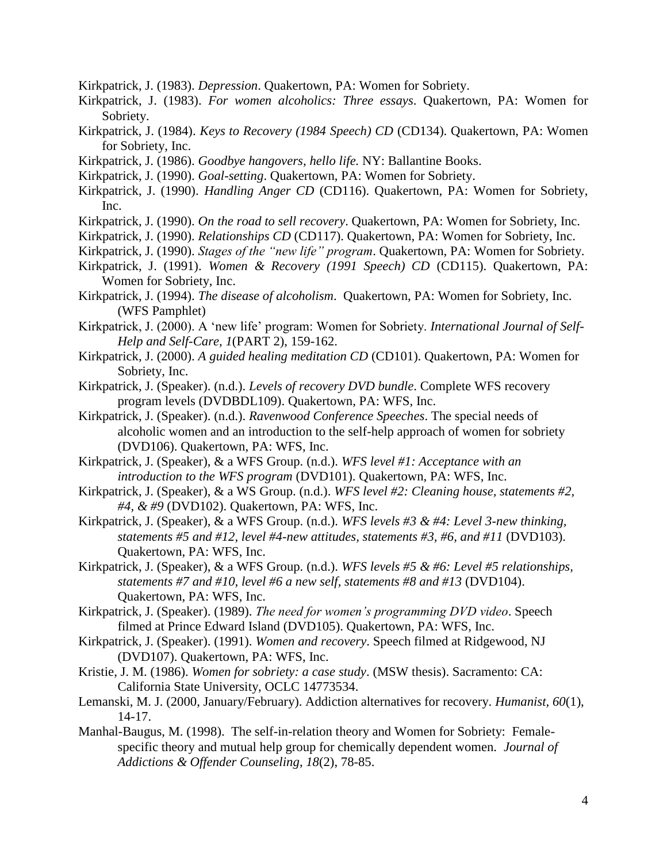Kirkpatrick, J. (1983). *Depression*. Quakertown, PA: Women for Sobriety.

- Kirkpatrick, J. (1983). *For women alcoholics: Three essays*. Quakertown, PA: Women for Sobriety.
- Kirkpatrick, J. (1984). *Keys to Recovery (1984 Speech) CD* (CD134). Quakertown, PA: Women for Sobriety, Inc.
- Kirkpatrick, J. (1986). *Goodbye hangovers, hello life.* NY: Ballantine Books.
- Kirkpatrick, J. (1990). *Goal-setting*. Quakertown, PA: Women for Sobriety.
- Kirkpatrick, J. (1990). *Handling Anger CD* (CD116). Quakertown, PA: Women for Sobriety, Inc.
- Kirkpatrick, J. (1990). *On the road to sell recovery*. Quakertown, PA: Women for Sobriety, Inc.
- Kirkpatrick, J. (1990). *Relationships CD* (CD117). Quakertown, PA: Women for Sobriety, Inc.
- Kirkpatrick, J. (1990). *Stages of the "new life" program*. Quakertown, PA: Women for Sobriety.
- Kirkpatrick, J. (1991). *Women & Recovery (1991 Speech) CD* (CD115). Quakertown, PA: Women for Sobriety, Inc.
- Kirkpatrick, J. (1994). *The disease of alcoholism*. Quakertown, PA: Women for Sobriety, Inc. (WFS Pamphlet)
- Kirkpatrick, J. (2000). A 'new life' program: Women for Sobriety. *International Journal of Self-Help and Self-Care, 1*(PART 2), 159-162.
- Kirkpatrick, J. (2000). *A guided healing meditation CD* (CD101). Quakertown, PA: Women for Sobriety, Inc.
- Kirkpatrick, J. (Speaker). (n.d.). *Levels of recovery DVD bundle*. Complete WFS recovery program levels (DVDBDL109). Quakertown, PA: WFS, Inc.
- Kirkpatrick, J. (Speaker). (n.d.). *Ravenwood Conference Speeches*. The special needs of alcoholic women and an introduction to the self-help approach of women for sobriety (DVD106). Quakertown, PA: WFS, Inc.
- Kirkpatrick, J. (Speaker), & a WFS Group. (n.d.). *WFS level #1: Acceptance with an introduction to the WFS program* (DVD101). Quakertown, PA: WFS, Inc.
- Kirkpatrick, J. (Speaker), & a WS Group. (n.d.). *WFS level #2: Cleaning house, statements #2, #4, & #9* (DVD102). Quakertown, PA: WFS, Inc.
- Kirkpatrick, J. (Speaker), & a WFS Group. (n.d.). *WFS levels #3 & #4: Level 3-new thinking, statements #5 and #12, level #4-new attitudes, statements #3, #6, and #11* (DVD103). Quakertown, PA: WFS, Inc.
- Kirkpatrick, J. (Speaker), & a WFS Group. (n.d.). *WFS levels #5 & #6: Level #5 relationships, statements #7 and #10, level #6 a new self, statements #8 and #13* (DVD104). Quakertown, PA: WFS, Inc.
- Kirkpatrick, J. (Speaker). (1989). *The need for women's programming DVD video*. Speech filmed at Prince Edward Island (DVD105). Quakertown, PA: WFS, Inc.
- Kirkpatrick, J. (Speaker). (1991). *Women and recovery*. Speech filmed at Ridgewood, NJ (DVD107). Quakertown, PA: WFS, Inc.
- Kristie, J. M. (1986). *Women for sobriety: a case study*. (MSW thesis). Sacramento: CA: California State University, OCLC 14773534.
- Lemanski, M. J. (2000, January/February). Addiction alternatives for recovery. *Humanist, 60*(1), 14-17.
- Manhal-Baugus, M. (1998). The self-in-relation theory and Women for Sobriety: Femalespecific theory and mutual help group for chemically dependent women*. Journal of Addictions & Offender Counseling*, *18*(2), 78-85.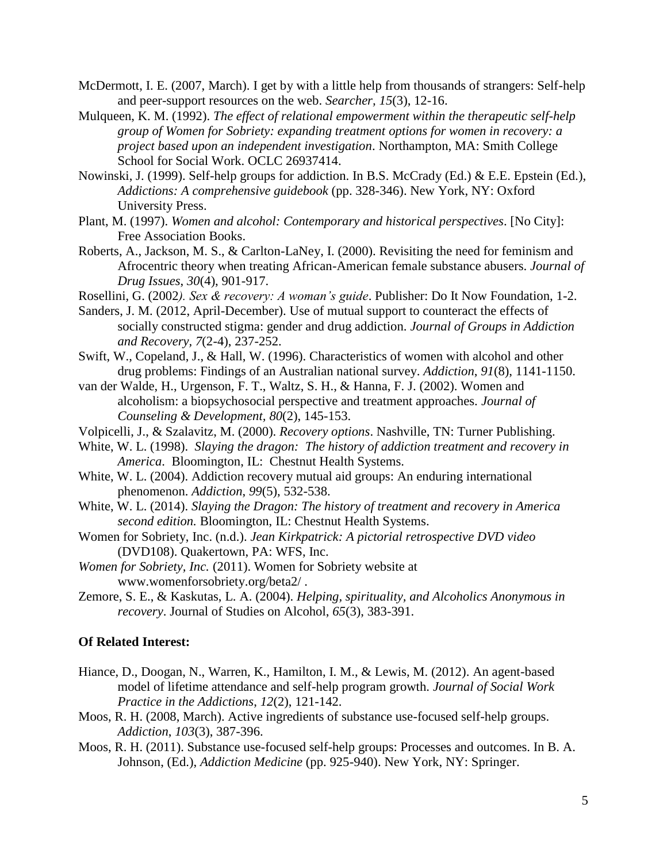- McDermott, I. E. (2007, March). I get by with a little help from thousands of strangers: Self-help and peer-support resources on the web. *Searcher, 15*(3), 12-16.
- Mulqueen, K. M. (1992). *The effect of relational empowerment within the therapeutic self-help group of Women for Sobriety: expanding treatment options for women in recovery: a project based upon an independent investigation*. Northampton, MA: Smith College School for Social Work. OCLC 26937414.
- Nowinski, J. (1999). Self-help groups for addiction. In B.S. McCrady (Ed.) & E.E. Epstein (Ed.), *Addictions: A comprehensive guidebook* (pp. 328-346). New York, NY: Oxford University Press.
- Plant, M. (1997). *Women and alcohol: Contemporary and historical perspectives*. [No City]: Free Association Books.
- Roberts, A., Jackson, M. S., & Carlton-LaNey, I. (2000). Revisiting the need for feminism and Afrocentric theory when treating African-American female substance abusers. *Journal of Drug Issues*, *30*(4), 901-917.
- Rosellini, G. (2002*). Sex & recovery: A woman's guide*. Publisher: Do It Now Foundation, 1-2.
- Sanders, J. M. (2012, April-December). Use of mutual support to counteract the effects of socially constructed stigma: gender and drug addiction. *Journal of Groups in Addiction and Recovery, 7*(2-4), 237-252.
- Swift, W., Copeland, J., & Hall, W. (1996). Characteristics of women with alcohol and other drug problems: Findings of an Australian national survey. *Addiction*, *91*(8), 1141-1150.
- van der Walde, H., Urgenson, F. T., Waltz, S. H., & Hanna, F. J. (2002). Women and alcoholism: a biopsychosocial perspective and treatment approaches. *Journal of Counseling & Development, 80*(2), 145-153.
- Volpicelli, J., & Szalavitz, M. (2000). *Recovery options*. Nashville, TN: Turner Publishing.
- White, W. L. (1998). *Slaying the dragon: The history of addiction treatment and recovery in America*. Bloomington, IL: Chestnut Health Systems.
- White, W. L. (2004). Addiction recovery mutual aid groups: An enduring international phenomenon. *Addiction*, *99*(5), 532-538.
- White, W. L. (2014). *Slaying the Dragon: The history of treatment and recovery in America second edition.* Bloomington, IL: Chestnut Health Systems.
- Women for Sobriety, Inc. (n.d.). *Jean Kirkpatrick: A pictorial retrospective DVD video* (DVD108). Quakertown, PA: WFS, Inc.
- *Women for Sobriety, Inc.* (2011). Women for Sobriety website at www.womenforsobriety.org/beta2/ .
- Zemore, S. E., & Kaskutas, L. A. (2004). *Helping, spirituality, and Alcoholics Anonymous in recovery*. Journal of Studies on Alcohol, *65*(3), 383-391.

## **Of Related Interest:**

- Hiance, D., Doogan, N., Warren, K., Hamilton, I. M., & Lewis, M. (2012). An agent-based model of lifetime attendance and self-help program growth. *Journal of Social Work Practice in the Addictions*, *12*(2), 121-142.
- Moos, R. H. (2008, March). Active ingredients of substance use-focused self-help groups. *Addiction*, *103*(3), 387-396.
- Moos, R. H. (2011). Substance use-focused self-help groups: Processes and outcomes. In B. A. Johnson, (Ed.), *Addiction Medicine* (pp. 925-940). New York, NY: Springer.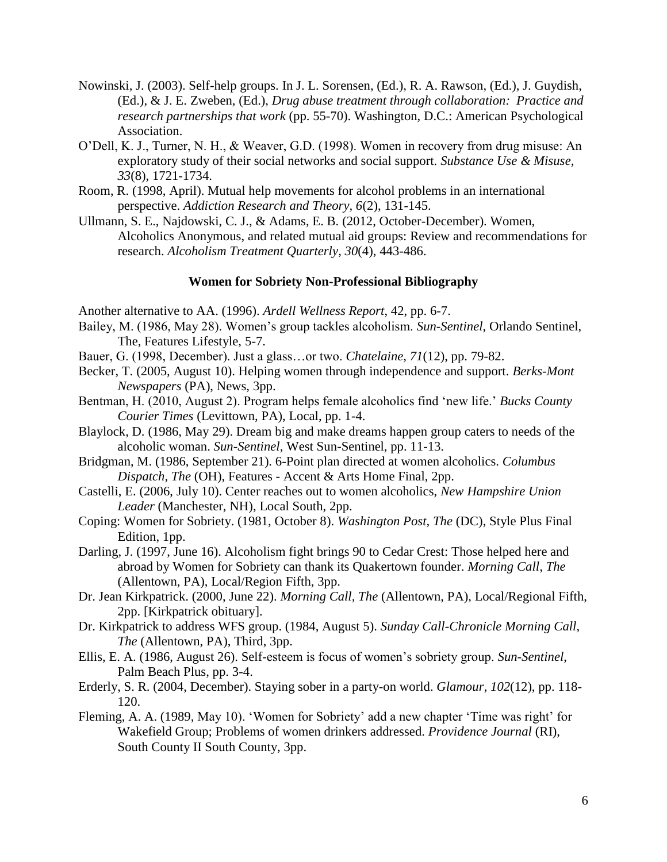- Nowinski, J. (2003). Self-help groups. In J. L. Sorensen, (Ed.), R. A. Rawson, (Ed.), J. Guydish, (Ed.), & J. E. Zweben, (Ed.), *Drug abuse treatment through collaboration: Practice and research partnerships that work* (pp. 55-70). Washington, D.C.: American Psychological Association.
- O'Dell, K. J., Turner, N. H., & Weaver, G.D. (1998). Women in recovery from drug misuse: An exploratory study of their social networks and social support. *Substance Use & Misuse*, *33*(8), 1721-1734.
- Room, R. (1998, April). Mutual help movements for alcohol problems in an international perspective. *Addiction Research and Theory, 6*(2), 131-145.
- Ullmann, S. E., Najdowski, C. J., & Adams, E. B. (2012, October-December). Women, Alcoholics Anonymous, and related mutual aid groups: Review and recommendations for research. *Alcoholism Treatment Quarterly*, *30*(4), 443-486.

## **Women for Sobriety Non-Professional Bibliography**

Another alternative to AA. (1996). *Ardell Wellness Report*, 42, pp. 6-7.

- Bailey, M. (1986, May 28). Women's group tackles alcoholism. *Sun-Sentinel*, Orlando Sentinel, The, Features Lifestyle, 5-7.
- Bauer, G. (1998, December). Just a glass…or two. *Chatelaine*, *71*(12), pp. 79-82.
- Becker, T. (2005, August 10). Helping women through independence and support. *Berks-Mont Newspapers* (PA), News, 3pp.
- Bentman, H. (2010, August 2). Program helps female alcoholics find 'new life.' *Bucks County Courier Times* (Levittown, PA), Local, pp. 1-4.
- Blaylock, D. (1986, May 29). Dream big and make dreams happen group caters to needs of the alcoholic woman. *Sun-Sentinel*, West Sun-Sentinel, pp. 11-13.
- Bridgman, M. (1986, September 21). 6-Point plan directed at women alcoholics. *Columbus Dispatch, The* (OH), Features - Accent & Arts Home Final, 2pp.
- Castelli, E. (2006, July 10). Center reaches out to women alcoholics, *New Hampshire Union Leader* (Manchester, NH), Local South, 2pp.
- Coping: Women for Sobriety. (1981, October 8). *Washington Post, The* (DC), Style Plus Final Edition, 1pp.
- Darling, J. (1997, June 16). Alcoholism fight brings 90 to Cedar Crest: Those helped here and abroad by Women for Sobriety can thank its Quakertown founder. *Morning Call, The* (Allentown, PA), Local/Region Fifth, 3pp.
- Dr. Jean Kirkpatrick. (2000, June 22). *Morning Call, The* (Allentown, PA), Local/Regional Fifth, 2pp. [Kirkpatrick obituary].
- Dr. Kirkpatrick to address WFS group. (1984, August 5). *Sunday Call-Chronicle Morning Call, The* (Allentown, PA), Third, 3pp.
- Ellis, E. A. (1986, August 26). Self-esteem is focus of women's sobriety group. *Sun-Sentinel*, Palm Beach Plus, pp. 3-4.
- Erderly, S. R. (2004, December). Staying sober in a party-on world. *Glamour*, *102*(12), pp. 118- 120.
- Fleming, A. A. (1989, May 10). 'Women for Sobriety' add a new chapter 'Time was right' for Wakefield Group; Problems of women drinkers addressed. *Providence Journal* (RI), South County II South County, 3pp.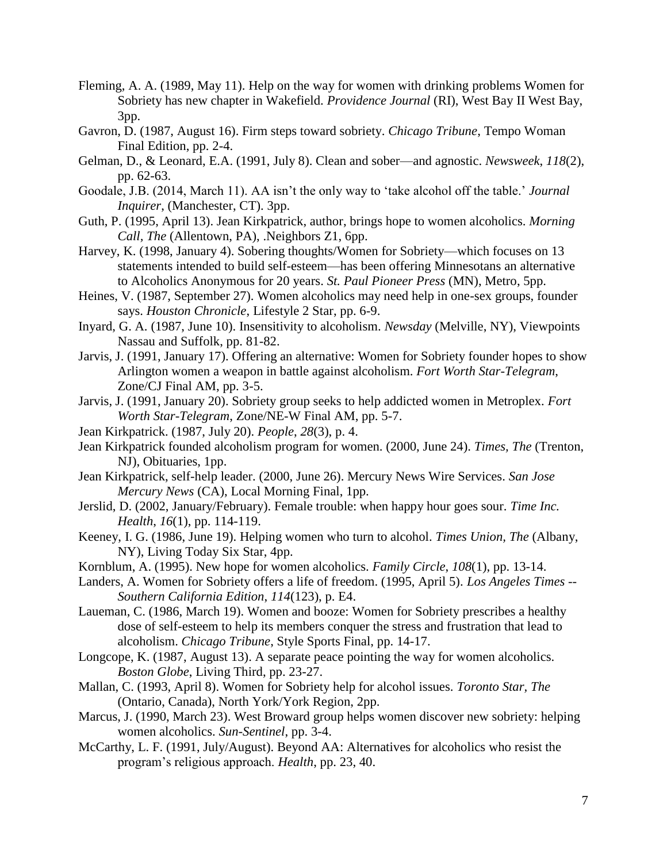- Fleming, A. A. (1989, May 11). Help on the way for women with drinking problems Women for Sobriety has new chapter in Wakefield. *Providence Journal* (RI), West Bay II West Bay, 3pp.
- Gavron, D. (1987, August 16). Firm steps toward sobriety. *Chicago Tribune*, Tempo Woman Final Edition, pp. 2-4.
- Gelman, D., & Leonard, E.A. (1991, July 8). Clean and sober—and agnostic. *Newsweek*, *118*(2), pp. 62-63.
- Goodale, J.B. (2014, March 11). AA isn't the only way to 'take alcohol off the table.' *Journal Inquirer*, (Manchester, CT). 3pp.
- Guth, P. (1995, April 13). Jean Kirkpatrick, author, brings hope to women alcoholics. *Morning Call, The* (Allentown, PA), .Neighbors Z1, 6pp.
- Harvey, K. (1998, January 4). Sobering thoughts/Women for Sobriety—which focuses on 13 statements intended to build self-esteem—has been offering Minnesotans an alternative to Alcoholics Anonymous for 20 years. *St. Paul Pioneer Press* (MN), Metro, 5pp.
- Heines, V. (1987, September 27). Women alcoholics may need help in one-sex groups, founder says. *Houston Chronicle*, Lifestyle 2 Star, pp. 6-9.
- Inyard, G. A. (1987, June 10). Insensitivity to alcoholism. *Newsday* (Melville, NY), Viewpoints Nassau and Suffolk, pp. 81-82.
- Jarvis, J. (1991, January 17). Offering an alternative: Women for Sobriety founder hopes to show Arlington women a weapon in battle against alcoholism. *Fort Worth Star-Telegram*, Zone/CJ Final AM, pp. 3-5.
- Jarvis, J. (1991, January 20). Sobriety group seeks to help addicted women in Metroplex. *Fort Worth Star-Telegram*, Zone/NE-W Final AM, pp. 5-7.
- Jean Kirkpatrick. (1987, July 20). *People*, *28*(3), p. 4.
- Jean Kirkpatrick founded alcoholism program for women. (2000, June 24). *Times, The* (Trenton, NJ), Obituaries, 1pp.
- Jean Kirkpatrick, self-help leader. (2000, June 26). Mercury News Wire Services. *San Jose Mercury News* (CA), Local Morning Final, 1pp.
- Jerslid, D. (2002, January/February). Female trouble: when happy hour goes sour. *Time Inc. Health*, *16*(1), pp. 114-119.
- Keeney, I. G. (1986, June 19). Helping women who turn to alcohol. *Times Union, The* (Albany, NY), Living Today Six Star, 4pp.
- Kornblum, A. (1995). New hope for women alcoholics. *Family Circle*, *108*(1), pp. 13-14.
- Landers, A. Women for Sobriety offers a life of freedom. (1995, April 5). *Los Angeles Times -- Southern California Edition*, *114*(123), p. E4.
- Laueman, C. (1986, March 19). Women and booze: Women for Sobriety prescribes a healthy dose of self-esteem to help its members conquer the stress and frustration that lead to alcoholism. *Chicago Tribune*, Style Sports Final, pp. 14-17.
- Longcope, K. (1987, August 13). A separate peace pointing the way for women alcoholics. *Boston Globe*, Living Third, pp. 23-27.
- Mallan, C. (1993, April 8). Women for Sobriety help for alcohol issues. *Toronto Star, The* (Ontario, Canada), North York/York Region, 2pp.
- Marcus, J. (1990, March 23). West Broward group helps women discover new sobriety: helping women alcoholics. *Sun-Sentinel*, pp. 3-4.
- McCarthy, L. F. (1991, July/August). Beyond AA: Alternatives for alcoholics who resist the program's religious approach. *Health*, pp. 23, 40.